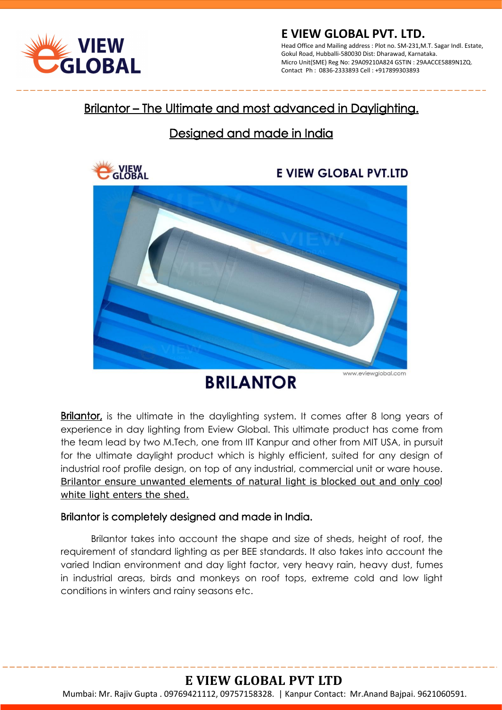

# Brilantor – The Ultimate and most advanced in Daylighting.

# Designed and made in India



# **BRILANTOR**

**Brilantor**, is the ultimate in the daylighting system. It comes after 8 long years of experience in day lighting from Eview Global. This ultimate product has come from the team lead by two M.Tech, one from IIT Kanpur and other from MIT USA, in pursuit for the ultimate daylight product which is highly efficient, suited for any design of industrial roof profile design, on top of any industrial, commercial unit or ware house. Brilantor ensure unwanted elements of natural light is blocked out and only cool white light enters the shed.

#### Brilantor is completely designed and made in India.

Brilantor takes into account the shape and size of sheds, height of roof, the requirement of standard lighting as per BEE standards. It also takes into account the varied Indian environment and day light factor, very heavy rain, heavy dust, fumes in industrial areas, birds and monkeys on roof tops, extreme cold and low light conditions in winters and rainy seasons etc.

### **E VIEW GLOBAL PVT LTD**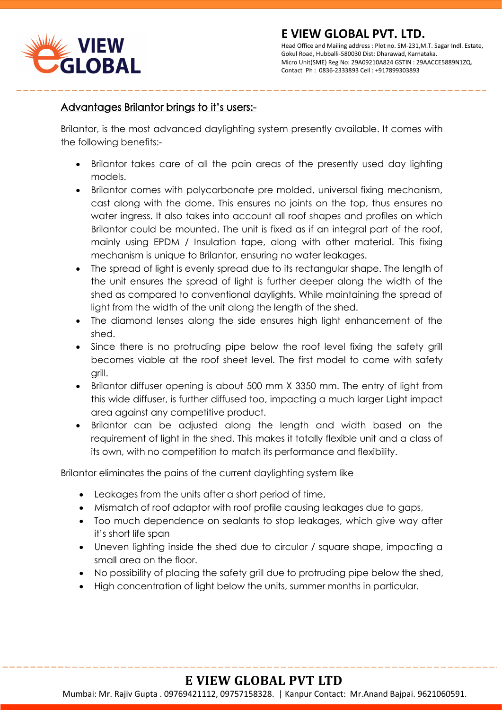

#### Advantages Brilantor brings to it's users:-

Brilantor, is the most advanced daylighting system presently available. It comes with the following benefits:-

- Brilantor takes care of all the pain areas of the presently used day lighting models.
- Brilantor comes with polycarbonate pre molded, universal fixing mechanism, cast along with the dome. This ensures no joints on the top, thus ensures no water ingress. It also takes into account all roof shapes and profiles on which Brilantor could be mounted. The unit is fixed as if an integral part of the roof, mainly using EPDM / Insulation tape, along with other material. This fixing mechanism is unique to Brilantor, ensuring no water leakages.
- The spread of light is evenly spread due to its rectangular shape. The length of the unit ensures the spread of light is further deeper along the width of the shed as compared to conventional daylights. While maintaining the spread of light from the width of the unit along the length of the shed.
- The diamond lenses along the side ensures high light enhancement of the shed.
- Since there is no protruding pipe below the roof level fixing the safety grill becomes viable at the roof sheet level. The first model to come with safety grill.
- Brilantor diffuser opening is about 500 mm X 3350 mm. The entry of light from this wide diffuser, is further diffused too, impacting a much larger Light impact area against any competitive product.
- Brilantor can be adjusted along the length and width based on the requirement of light in the shed. This makes it totally flexible unit and a class of its own, with no competition to match its performance and flexibility.

Brilantor eliminates the pains of the current daylighting system like

- Leakages from the units after a short period of time,
- Mismatch of roof adaptor with roof profile causing leakages due to gaps,
- Too much dependence on sealants to stop leakages, which give way after it's short life span
- Uneven lighting inside the shed due to circular / square shape, impacting a small area on the floor.
- No possibility of placing the safety grill due to protruding pipe below the shed,
- High concentration of light below the units, summer months in particular.

#### **E VIEW GLOBAL PVT LTD**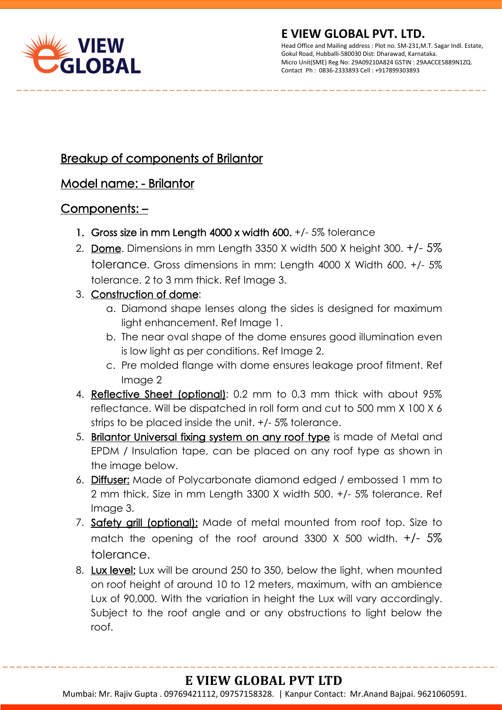

Head Office and Mailing address : Plot no. SM-231, M.T. Sagar Indl. Estate, Gokul Road, Hubballi-580030 Dist: Dharawad, Karnataka. Micro Unit(SME) Reg No: 29A09210A824 GSTIN : 29AACCE5889N1ZQ. Contact Ph : 0836-2333893 Cell : +917899303893

# Breakup of components of Brilantor

## Model name: - Brilantor

#### Components: –

- 1. Gross size in mm Length 4000 x width 600. +/- 5% tolerance
- 2. Dome. Dimensions in mm Length 3350 X width 500 X height 300.  $+/-5\%$ tolerance. Gross dimensions in mm: Length 4000 X Width 600. +/- 5% tolerance. 2 to 3 mm thick. Ref Image 3.
- 3. Construction of dome:
	- a. Diamond shape lenses along the sides is designed for maximum light enhancement. Ref Image 1.
	- b. The near oval shape of the dome ensures good illumination even is low light as per conditions. Ref Image 2.
	- c. Pre molded flange with dome ensures leakage proof fitment. Ref Image 2
- 4. Reflective Sheet (optional): 0.2 mm to 0.3mm thick with about 95% reflectance. Will be dispatched in roll form and cut to 500 mm X 100 X 6 strips to be placed inside the unit. +/- 5% tolerance.
- 5. Brilantor Universal fixing system on any roof type is made of Metal and EPDM / Insulation tape, can be placed on any roof type as shown in the image below.
- 6. Diffuser: Made of Polycarbonate diamond edged / embossed 1 mm to 2 mm thick. Size in mm Length 3300 X width 500. +/- 5% tolerance. Ref Image 3.
- 7. Safety grill (optional): Made of metal mounted from roof top. Size to match the opening of the roof around 3300 X 500 width.  $+/- 5\%$ tolerance.
- 8. Lux level: Lux will be around 250 to 350, below the light, when mounted on roof height of around 10 to 12 meters, maximum, with an ambience Lux of 90,000. With the variation in height the Lux will vary accordingly. Subject to the roof angle and or any obstructions to light below the roof.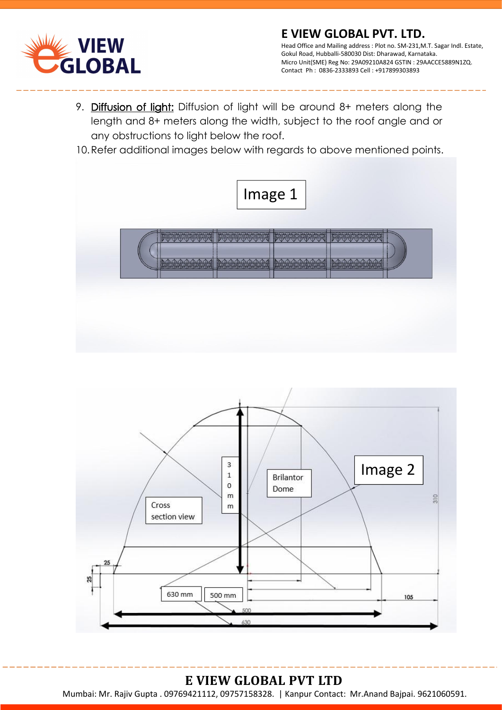

- 9. Diffusion of light: Diffusion of light will be around 8+ meters along the length and 8+ meters along the width, subject to the roof angle and or any obstructions to light below the roof.
- 10.Refer additional images below with regards to above mentioned points.





#### **E VIEW GLOBAL PVT LTD**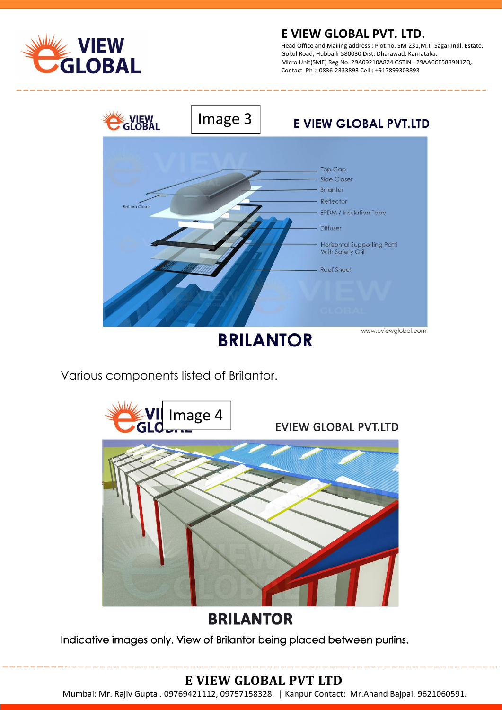

Head Office and Mailing address : Plot no. SM-231, M.T. Sagar Indl. Estate, Gokul Road, Hubballi-580030 Dist: Dharawad, Karnataka. Micro Unit(SME) Reg No: 29A09210A824 GSTIN : 29AACCE5889N1ZQ. Contact Ph : 0836-2333893 Cell : +917899303893



**BRILANTOR** 

Various components listed of Brilantor.



# **BRILANTOR**

Indicative images only. View of Brilantor being placed between purlins.

### **E VIEW GLOBAL PVT LTD**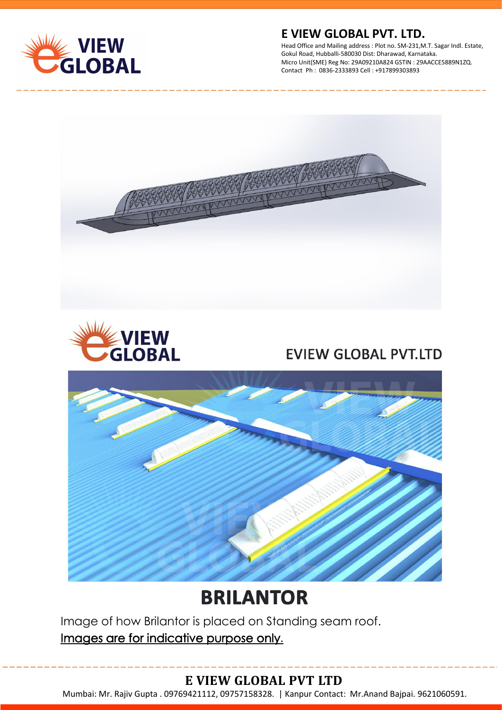

Head Office and Mailing address : Plot no. SM-231,M.T. Sagar Indl. Estate, Gokul Road, Hubballi-580030 Dist: Dharawad, Karnataka. Micro Unit(SME) Reg No: 29A09210A824 GSTIN : 29AACCE5889N1ZQ. Contact Ph : 0836-2333893 Cell : +917899303893





# **EVIEW GLOBAL PVT.LTD**



# **BRILANTOR**

Image of how Brilantor is placed on Standing seam roof. Images are for indicative purpose only.

# **E VIEW GLOBAL PVT LTD**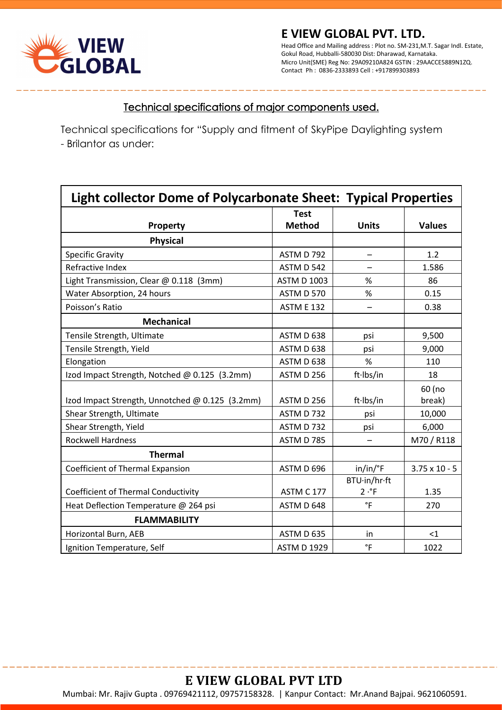

#### Technical specifications of major components used.

Technical specifications for "Supply and fitment of SkyPipe Daylighting system - Brilantor as under:

| <b>Light collector Dome of Polycarbonate Sheet: Typical Properties</b> |                    |                                     |                      |  |  |  |
|------------------------------------------------------------------------|--------------------|-------------------------------------|----------------------|--|--|--|
|                                                                        | <b>Test</b>        |                                     |                      |  |  |  |
| Property                                                               | <b>Method</b>      | <b>Units</b>                        | <b>Values</b>        |  |  |  |
| <b>Physical</b>                                                        |                    |                                     |                      |  |  |  |
| <b>Specific Gravity</b>                                                | ASTM D 792         |                                     | 1.2                  |  |  |  |
| Refractive Index                                                       | ASTM D 542         |                                     | 1.586                |  |  |  |
| Light Transmission, Clear @ 0.118 (3mm)                                | <b>ASTM D 1003</b> | %                                   | 86                   |  |  |  |
| Water Absorption, 24 hours                                             | ASTM D 570         | $\%$                                | 0.15                 |  |  |  |
| Poisson's Ratio                                                        | <b>ASTM E 132</b>  | $\overline{\phantom{0}}$            | 0.38                 |  |  |  |
| <b>Mechanical</b>                                                      |                    |                                     |                      |  |  |  |
| Tensile Strength, Ultimate                                             | ASTM D 638         | psi                                 | 9,500                |  |  |  |
| Tensile Strength, Yield                                                | ASTM D 638         | psi                                 | 9,000                |  |  |  |
| Elongation                                                             | ASTM D 638         | %                                   | 110                  |  |  |  |
| Izod Impact Strength, Notched @ 0.125 (3.2mm)                          | ASTM D 256         | ft·lbs/in                           | 18                   |  |  |  |
|                                                                        |                    |                                     | 60 (no               |  |  |  |
| Izod Impact Strength, Unnotched @ 0.125 (3.2mm)                        | <b>ASTM D 256</b>  | ft·lbs/in                           | break)               |  |  |  |
| Shear Strength, Ultimate                                               | ASTM D 732         | psi                                 | 10,000               |  |  |  |
| Shear Strength, Yield                                                  | ASTM D 732         | psi                                 | 6,000                |  |  |  |
| <b>Rockwell Hardness</b>                                               | ASTM D 785         |                                     | M70 / R118           |  |  |  |
| <b>Thermal</b>                                                         |                    |                                     |                      |  |  |  |
| Coefficient of Thermal Expansion                                       | ASTM D 696         | $in/in/{}^{\circ}F$                 | $3.75 \times 10 - 5$ |  |  |  |
| Coefficient of Thermal Conductivity                                    | ASTM C 177         | BTU·in/hr·ft<br>$2 \cdot ^{\circ}F$ | 1.35                 |  |  |  |
| Heat Deflection Temperature @ 264 psi                                  | ASTM D 648         | $\mathsf{P}$                        | 270                  |  |  |  |
| <b>FLAMMABILITY</b>                                                    |                    |                                     |                      |  |  |  |
| Horizontal Burn, AEB                                                   | ASTM D 635         | in                                  | $<$ 1                |  |  |  |
| Ignition Temperature, Self                                             | <b>ASTM D 1929</b> | $\degree$ F                         | 1022                 |  |  |  |

**E VIEW GLOBAL PVT LTD**